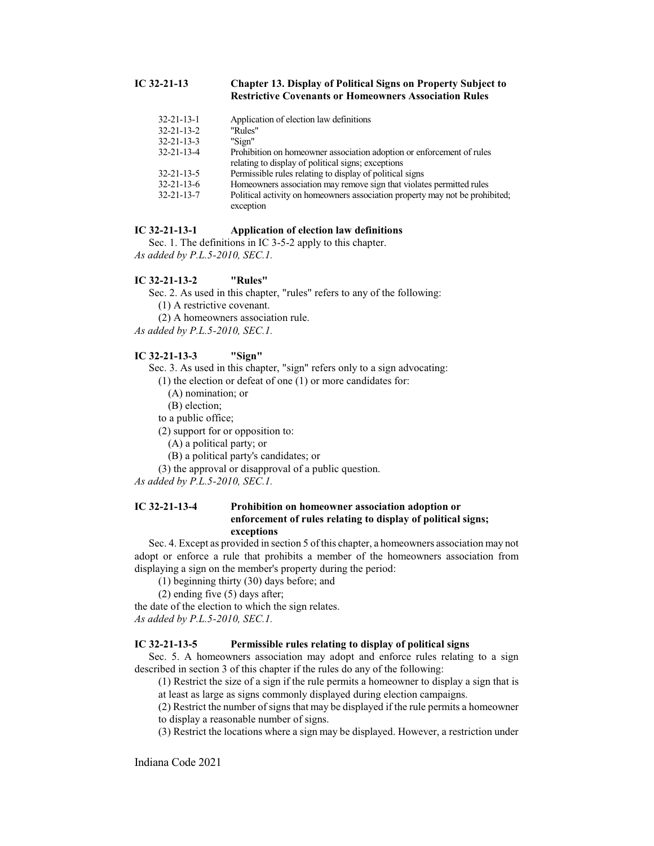### **IC 32-21-13 Chapter 13. Display of Political Signs on Property Subject to Restrictive Covenants or Homeowners Association Rules**

| Application of election law definitions                                                                                     |
|-----------------------------------------------------------------------------------------------------------------------------|
| "Rules"                                                                                                                     |
| "Sign"                                                                                                                      |
| Prohibition on homeowner association adoption or enforcement of rules<br>relating to display of political signs; exceptions |
| Permissible rules relating to display of political signs                                                                    |
| Homeowners association may remove sign that violates permitted rules                                                        |
| Political activity on homeowners association property may not be prohibited;<br>exception                                   |
|                                                                                                                             |

# **IC 32-21-13-1 Application of election law definitions**

Sec. 1. The definitions in IC 3-5-2 apply to this chapter. *As added by P.L.5-2010, SEC.1.*

#### **IC 32-21-13-2 "Rules"**

Sec. 2. As used in this chapter, "rules" refers to any of the following:

(1) A restrictive covenant.

(2) A homeowners association rule.

*As added by P.L.5-2010, SEC.1.*

#### **IC 32-21-13-3 "Sign"**

Sec. 3. As used in this chapter, "sign" refers only to a sign advocating:

(1) the election or defeat of one (1) or more candidates for:

- (A) nomination; or
- (B) election;

to a public office;

- (2) support for or opposition to:
	- (A) a political party; or
	- (B) a political party's candidates; or
- (3) the approval or disapproval of a public question.

*As added by P.L.5-2010, SEC.1.*

# **IC 32-21-13-4 Prohibition on homeowner association adoption or enforcement of rules relating to display of political signs; exceptions**

Sec. 4. Except as provided in section 5 ofthis chapter, a homeowners association may not adopt or enforce a rule that prohibits a member of the homeowners association from displaying a sign on the member's property during the period:

(1) beginning thirty (30) days before; and

(2) ending five (5) days after;

the date of the election to which the sign relates.

*As added by P.L.5-2010, SEC.1.*

## **IC 32-21-13-5 Permissible rules relating to display of political signs**

Sec. 5. A homeowners association may adopt and enforce rules relating to a sign described in section 3 of this chapter if the rules do any of the following:

(1) Restrict the size of a sign if the rule permits a homeowner to display a sign that is at least as large as signs commonly displayed during election campaigns.

(2) Restrict the number of signs that may be displayed if the rule permits a homeowner to display a reasonable number of signs.

(3) Restrict the locations where a sign may be displayed. However, a restriction under